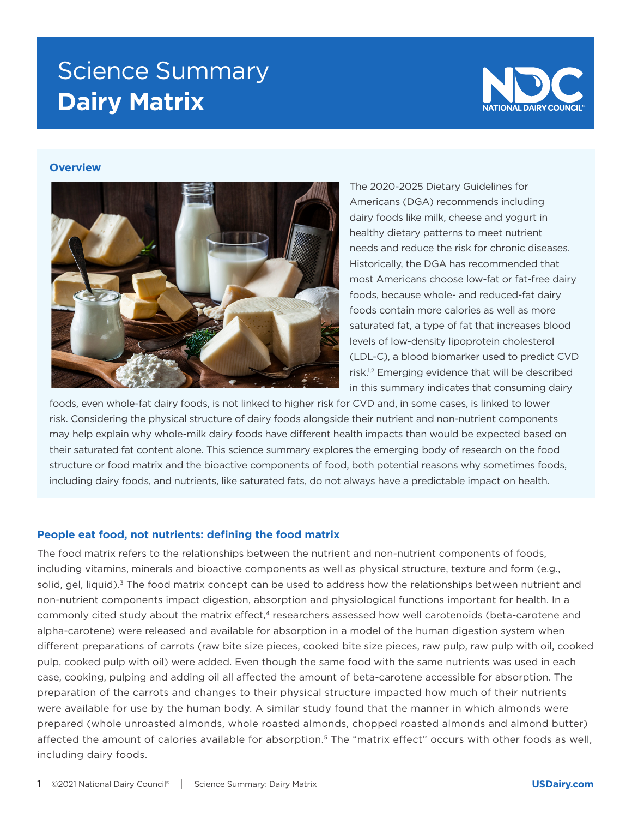# Science Summary **Dairy Matrix**



## **Overview**



The 2020-2025 Dietary Guidelines for Americans (DGA) recommends including dairy foods like milk, cheese and yogurt in healthy dietary patterns to meet nutrient needs and reduce the risk for chronic diseases. Historically, the DGA has recommended that most Americans choose low-fat or fat-free dairy foods, because whole- and reduced-fat dairy foods contain more calories as well as more saturated fat, a type of fat that increases blood levels of low-density lipoprotein cholesterol (LDL-C), a blood biomarker used to predict CVD risk.1,2 Emerging evidence that will be described in this summary indicates that consuming dairy

foods, even whole-fat dairy foods, is not linked to higher risk for CVD and, in some cases, is linked to lower risk. Considering the physical structure of dairy foods alongside their nutrient and non-nutrient components may help explain why whole-milk dairy foods have different health impacts than would be expected based on their saturated fat content alone. This science summary explores the emerging body of research on the food structure or food matrix and the bioactive components of food, both potential reasons why sometimes foods, including dairy foods, and nutrients, like saturated fats, do not always have a predictable impact on health.

#### **People eat food, not nutrients: defining the food matrix**

The food matrix refers to the relationships between the nutrient and non-nutrient components of foods, including vitamins, minerals and bioactive components as well as physical structure, texture and form (e.g., solid, gel, liquid).<sup>3</sup> The food matrix concept can be used to address how the relationships between nutrient and non-nutrient components impact digestion, absorption and physiological functions important for health. In a commonly cited study about the matrix effect,<sup>4</sup> researchers assessed how well carotenoids (beta-carotene and alpha-carotene) were released and available for absorption in a model of the human digestion system when different preparations of carrots (raw bite size pieces, cooked bite size pieces, raw pulp, raw pulp with oil, cooked pulp, cooked pulp with oil) were added. Even though the same food with the same nutrients was used in each case, cooking, pulping and adding oil all affected the amount of beta-carotene accessible for absorption. The preparation of the carrots and changes to their physical structure impacted how much of their nutrients were available for use by the human body. A similar study found that the manner in which almonds were prepared (whole unroasted almonds, whole roasted almonds, chopped roasted almonds and almond butter) affected the amount of calories available for absorption.5 The "matrix effect" occurs with other foods as well, including dairy foods.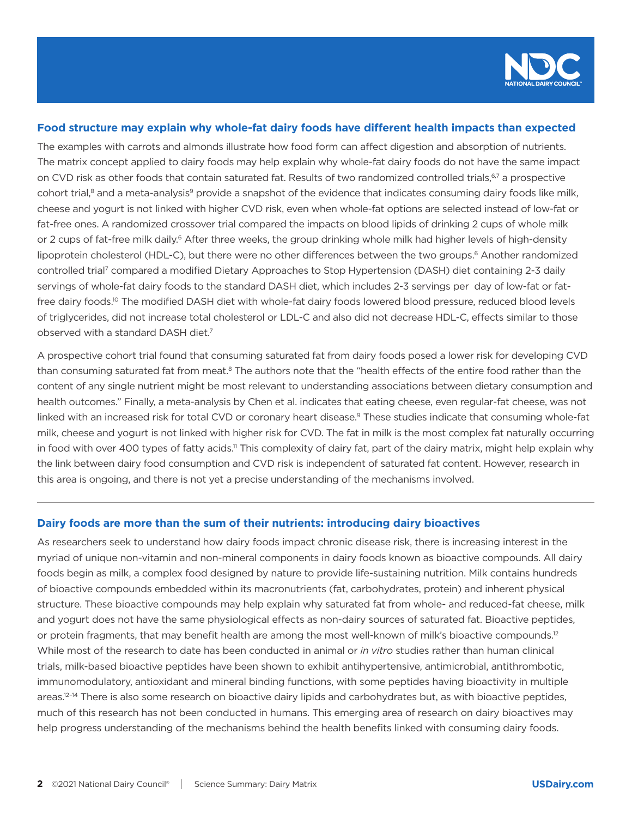

## **Food structure may explain why whole-fat dairy foods have different health impacts than expected**

The examples with carrots and almonds illustrate how food form can affect digestion and absorption of nutrients. The matrix concept applied to dairy foods may help explain why whole-fat dairy foods do not have the same impact on CVD risk as other foods that contain saturated fat. Results of two randomized controlled trials,<sup>6,7</sup> a prospective cohort trial,<sup>8</sup> and a meta-analysis<sup>9</sup> provide a snapshot of the evidence that indicates consuming dairy foods like milk, cheese and yogurt is not linked with higher CVD risk, even when whole-fat options are selected instead of low-fat or fat-free ones. A randomized crossover trial compared the impacts on blood lipids of drinking 2 cups of whole milk or 2 cups of fat-free milk daily.<sup>6</sup> After three weeks, the group drinking whole milk had higher levels of high-density lipoprotein cholesterol (HDL-C), but there were no other differences between the two groups.<sup>6</sup> Another randomized controlled trial<sup>7</sup> compared a modified Dietary Approaches to Stop Hypertension (DASH) diet containing 2-3 daily servings of whole-fat dairy foods to the standard DASH diet, which includes 2-3 servings per day of low-fat or fatfree dairy foods.<sup>10</sup> The modified DASH diet with whole-fat dairy foods lowered blood pressure, reduced blood levels of triglycerides, did not increase total cholesterol or LDL-C and also did not decrease HDL-C, effects similar to those observed with a standard DASH diet.7

A prospective cohort trial found that consuming saturated fat from dairy foods posed a lower risk for developing CVD than consuming saturated fat from meat.<sup>8</sup> The authors note that the "health effects of the entire food rather than the content of any single nutrient might be most relevant to understanding associations between dietary consumption and health outcomes." Finally, a meta-analysis by Chen et al. indicates that eating cheese, even regular-fat cheese, was not linked with an increased risk for total CVD or coronary heart disease.<sup>9</sup> These studies indicate that consuming whole-fat milk, cheese and yogurt is not linked with higher risk for CVD. The fat in milk is the most complex fat naturally occurring in food with over 400 types of fatty acids.<sup>11</sup> This complexity of dairy fat, part of the dairy matrix, might help explain why the link between dairy food consumption and CVD risk is independent of saturated fat content. However, research in this area is ongoing, and there is not yet a precise understanding of the mechanisms involved.

## **Dairy foods are more than the sum of their nutrients: introducing dairy bioactives**

As researchers seek to understand how dairy foods impact chronic disease risk, there is increasing interest in the myriad of unique non-vitamin and non-mineral components in dairy foods known as bioactive compounds. All dairy foods begin as milk, a complex food designed by nature to provide life-sustaining nutrition. Milk contains hundreds of bioactive compounds embedded within its macronutrients (fat, carbohydrates, protein) and inherent physical structure. These bioactive compounds may help explain why saturated fat from whole- and reduced-fat cheese, milk and yogurt does not have the same physiological effects as non-dairy sources of saturated fat. Bioactive peptides, or protein fragments, that may benefit health are among the most well-known of milk's bioactive compounds.<sup>12</sup> While most of the research to date has been conducted in animal or *in vitro* studies rather than human clinical trials, milk-based bioactive peptides have been shown to exhibit antihypertensive, antimicrobial, antithrombotic, immunomodulatory, antioxidant and mineral binding functions, with some peptides having bioactivity in multiple areas.<sup>12–14</sup> There is also some research on bioactive dairy lipids and carbohydrates but, as with bioactive peptides, much of this research has not been conducted in humans. This emerging area of research on dairy bioactives may help progress understanding of the mechanisms behind the health benefits linked with consuming dairy foods.